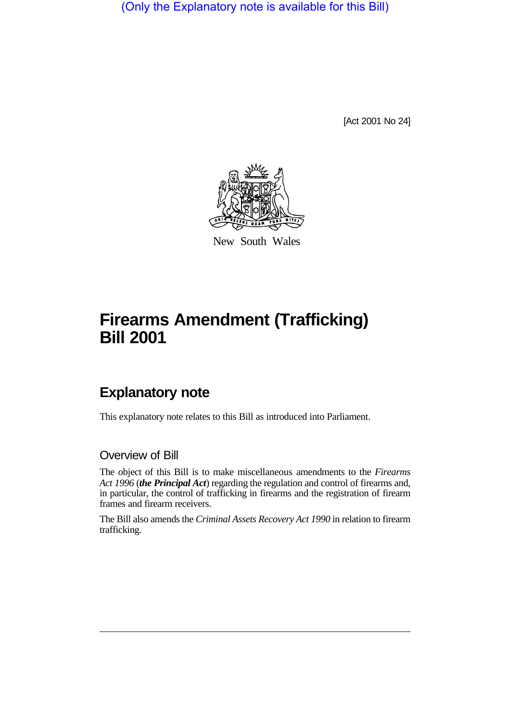(Only the Explanatory note is available for this Bill)

[Act 2001 No 24]



New South Wales

# **Firearms Amendment (Trafficking) Bill 2001**

## **Explanatory note**

This explanatory note relates to this Bill as introduced into Parliament.

### Overview of Bill

The object of this Bill is to make miscellaneous amendments to the *Firearms Act 1996* (*the Principal Act*) regarding the regulation and control of firearms and, in particular, the control of trafficking in firearms and the registration of firearm frames and firearm receivers.

The Bill also amends the *Criminal Assets Recovery Act 1990* in relation to firearm trafficking.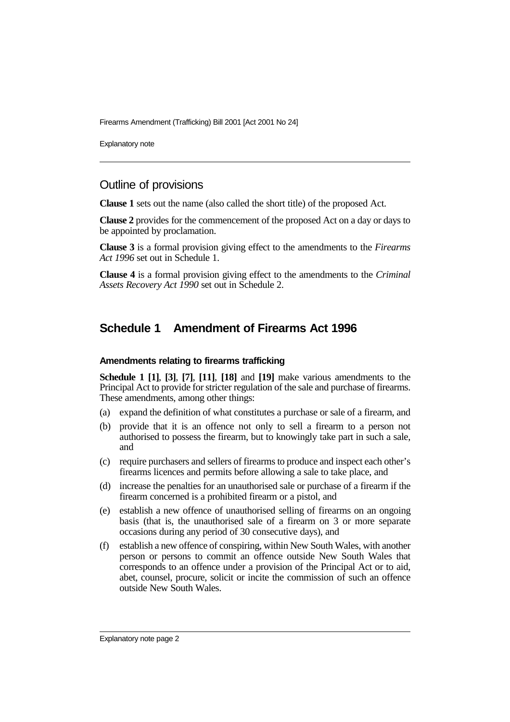Explanatory note

## Outline of provisions

**Clause 1** sets out the name (also called the short title) of the proposed Act.

**Clause 2** provides for the commencement of the proposed Act on a day or days to be appointed by proclamation.

**Clause 3** is a formal provision giving effect to the amendments to the *Firearms Act 1996* set out in Schedule 1.

**Clause 4** is a formal provision giving effect to the amendments to the *Criminal Assets Recovery Act 1990* set out in Schedule 2.

## **Schedule 1 Amendment of Firearms Act 1996**

#### **Amendments relating to firearms trafficking**

**Schedule 1 [1]**, **[3]**, **[7]**, **[11]**, **[18]** and **[19]** make various amendments to the Principal Act to provide for stricter regulation of the sale and purchase of firearms. These amendments, among other things:

- (a) expand the definition of what constitutes a purchase or sale of a firearm, and
- (b) provide that it is an offence not only to sell a firearm to a person not authorised to possess the firearm, but to knowingly take part in such a sale, and
- (c) require purchasers and sellers of firearms to produce and inspect each other's firearms licences and permits before allowing a sale to take place, and
- (d) increase the penalties for an unauthorised sale or purchase of a firearm if the firearm concerned is a prohibited firearm or a pistol, and
- (e) establish a new offence of unauthorised selling of firearms on an ongoing basis (that is, the unauthorised sale of a firearm on 3 or more separate occasions during any period of 30 consecutive days), and
- (f) establish a new offence of conspiring, within New South Wales, with another person or persons to commit an offence outside New South Wales that corresponds to an offence under a provision of the Principal Act or to aid, abet, counsel, procure, solicit or incite the commission of such an offence outside New South Wales.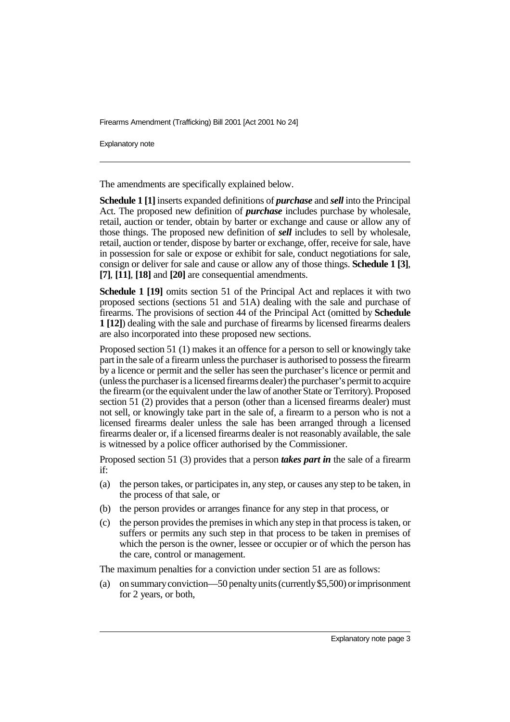Explanatory note

The amendments are specifically explained below.

**Schedule 1 [1]** inserts expanded definitions of *purchase* and *sell* into the Principal Act. The proposed new definition of *purchase* includes purchase by wholesale, retail, auction or tender, obtain by barter or exchange and cause or allow any of those things. The proposed new definition of *sell* includes to sell by wholesale, retail, auction or tender, dispose by barter or exchange, offer, receive for sale, have in possession for sale or expose or exhibit for sale, conduct negotiations for sale, consign or deliver for sale and cause or allow any of those things. **Schedule 1 [3]**, **[7]**, **[11]**, **[18]** and **[20]** are consequential amendments.

**Schedule 1 [19]** omits section 51 of the Principal Act and replaces it with two proposed sections (sections 51 and 51A) dealing with the sale and purchase of firearms. The provisions of section 44 of the Principal Act (omitted by **Schedule 1 [12]**) dealing with the sale and purchase of firearms by licensed firearms dealers are also incorporated into these proposed new sections.

Proposed section 51 (1) makes it an offence for a person to sell or knowingly take part in the sale of a firearm unless the purchaser is authorised to possess the firearm by a licence or permit and the seller has seen the purchaser's licence or permit and (unless the purchaser is a licensed firearms dealer) the purchaser's permit to acquire the firearm (or the equivalent under the law of another State or Territory). Proposed section 51 (2) provides that a person (other than a licensed firearms dealer) must not sell, or knowingly take part in the sale of, a firearm to a person who is not a licensed firearms dealer unless the sale has been arranged through a licensed firearms dealer or, if a licensed firearms dealer is not reasonably available, the sale is witnessed by a police officer authorised by the Commissioner.

Proposed section 51 (3) provides that a person *takes part in* the sale of a firearm if:

- (a) the person takes, or participates in, any step, or causes any step to be taken, in the process of that sale, or
- (b) the person provides or arranges finance for any step in that process, or
- (c) the person provides the premises in which any step in that process is taken, or suffers or permits any such step in that process to be taken in premises of which the person is the owner, lessee or occupier or of which the person has the care, control or management.

The maximum penalties for a conviction under section 51 are as follows:

(a) on summary conviction—50 penalty units (currently \$5,500) or imprisonment for 2 years, or both,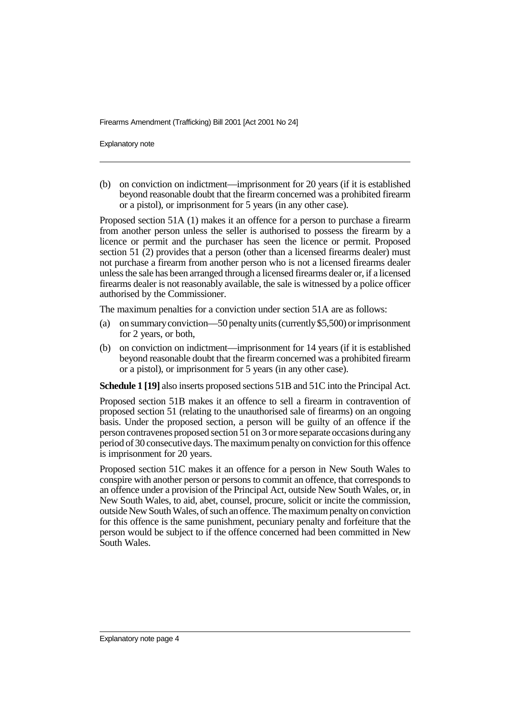Explanatory note

(b) on conviction on indictment—imprisonment for 20 years (if it is established beyond reasonable doubt that the firearm concerned was a prohibited firearm or a pistol), or imprisonment for 5 years (in any other case).

Proposed section 51A (1) makes it an offence for a person to purchase a firearm from another person unless the seller is authorised to possess the firearm by a licence or permit and the purchaser has seen the licence or permit. Proposed section 51 (2) provides that a person (other than a licensed firearms dealer) must not purchase a firearm from another person who is not a licensed firearms dealer unless the sale has been arranged through a licensed firearms dealer or, if a licensed firearms dealer is not reasonably available, the sale is witnessed by a police officer authorised by the Commissioner.

The maximum penalties for a conviction under section 51A are as follows:

- (a) on summary conviction—50 penalty units (currently \$5,500) or imprisonment for 2 years, or both,
- (b) on conviction on indictment—imprisonment for 14 years (if it is established beyond reasonable doubt that the firearm concerned was a prohibited firearm or a pistol), or imprisonment for 5 years (in any other case).

**Schedule 1 [19]** also inserts proposed sections 51B and 51C into the Principal Act.

Proposed section 51B makes it an offence to sell a firearm in contravention of proposed section 51 (relating to the unauthorised sale of firearms) on an ongoing basis. Under the proposed section, a person will be guilty of an offence if the person contravenes proposed section 51 on 3 or more separate occasions during any period of 30 consecutive days. The maximum penalty on conviction for this offence is imprisonment for 20 years.

Proposed section 51C makes it an offence for a person in New South Wales to conspire with another person or persons to commit an offence, that corresponds to an offence under a provision of the Principal Act, outside New South Wales, or, in New South Wales, to aid, abet, counsel, procure, solicit or incite the commission, outside New South Wales, of such an offence. The maximum penalty on conviction for this offence is the same punishment, pecuniary penalty and forfeiture that the person would be subject to if the offence concerned had been committed in New South Wales.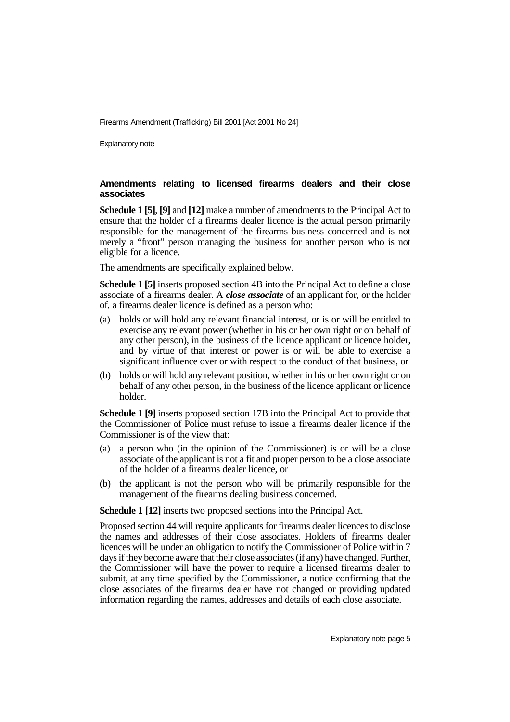Explanatory note

#### **Amendments relating to licensed firearms dealers and their close associates**

**Schedule 1 [5]**, **[9]** and **[12]** make a number of amendments to the Principal Act to ensure that the holder of a firearms dealer licence is the actual person primarily responsible for the management of the firearms business concerned and is not merely a "front" person managing the business for another person who is not eligible for a licence.

The amendments are specifically explained below.

**Schedule 1 [5]** inserts proposed section 4B into the Principal Act to define a close associate of a firearms dealer. A *close associate* of an applicant for, or the holder of, a firearms dealer licence is defined as a person who:

- (a) holds or will hold any relevant financial interest, or is or will be entitled to exercise any relevant power (whether in his or her own right or on behalf of any other person), in the business of the licence applicant or licence holder, and by virtue of that interest or power is or will be able to exercise a significant influence over or with respect to the conduct of that business, or
- (b) holds or will hold any relevant position, whether in his or her own right or on behalf of any other person, in the business of the licence applicant or licence holder.

**Schedule 1 [9]** inserts proposed section 17B into the Principal Act to provide that the Commissioner of Police must refuse to issue a firearms dealer licence if the Commissioner is of the view that:

- (a) a person who (in the opinion of the Commissioner) is or will be a close associate of the applicant is not a fit and proper person to be a close associate of the holder of a firearms dealer licence, or
- (b) the applicant is not the person who will be primarily responsible for the management of the firearms dealing business concerned.

**Schedule 1 [12]** inserts two proposed sections into the Principal Act.

Proposed section 44 will require applicants for firearms dealer licences to disclose the names and addresses of their close associates. Holders of firearms dealer licences will be under an obligation to notify the Commissioner of Police within 7 days if they become aware that their close associates (if any) have changed. Further, the Commissioner will have the power to require a licensed firearms dealer to submit, at any time specified by the Commissioner, a notice confirming that the close associates of the firearms dealer have not changed or providing updated information regarding the names, addresses and details of each close associate.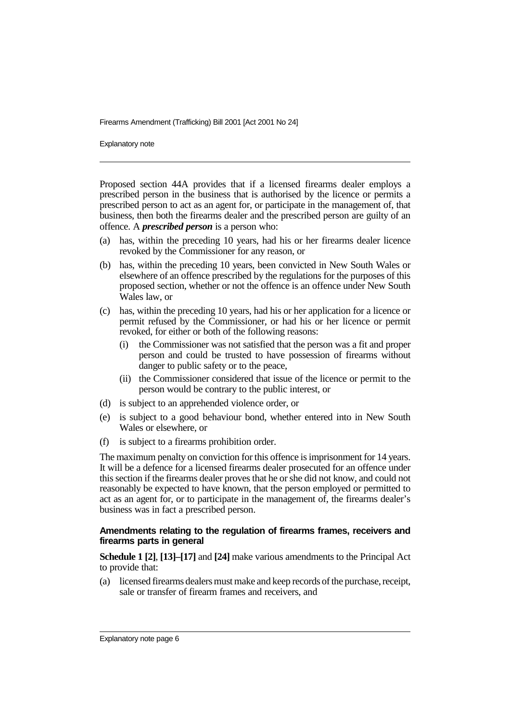Explanatory note

Proposed section 44A provides that if a licensed firearms dealer employs a prescribed person in the business that is authorised by the licence or permits a prescribed person to act as an agent for, or participate in the management of, that business, then both the firearms dealer and the prescribed person are guilty of an offence. A *prescribed person* is a person who:

- (a) has, within the preceding 10 years, had his or her firearms dealer licence revoked by the Commissioner for any reason, or
- (b) has, within the preceding 10 years, been convicted in New South Wales or elsewhere of an offence prescribed by the regulations for the purposes of this proposed section, whether or not the offence is an offence under New South Wales law, or
- (c) has, within the preceding 10 years, had his or her application for a licence or permit refused by the Commissioner, or had his or her licence or permit revoked, for either or both of the following reasons:
	- (i) the Commissioner was not satisfied that the person was a fit and proper person and could be trusted to have possession of firearms without danger to public safety or to the peace,
	- (ii) the Commissioner considered that issue of the licence or permit to the person would be contrary to the public interest, or
- (d) is subject to an apprehended violence order, or
- (e) is subject to a good behaviour bond, whether entered into in New South Wales or elsewhere, or
- (f) is subject to a firearms prohibition order.

The maximum penalty on conviction for this offence is imprisonment for 14 years. It will be a defence for a licensed firearms dealer prosecuted for an offence under this section if the firearms dealer proves that he or she did not know, and could not reasonably be expected to have known, that the person employed or permitted to act as an agent for, or to participate in the management of, the firearms dealer's business was in fact a prescribed person.

#### **Amendments relating to the regulation of firearms frames, receivers and firearms parts in general**

**Schedule 1 [2]**, **[13]–[17]** and **[24]** make various amendments to the Principal Act to provide that:

(a) licensed firearms dealers must make and keep records of the purchase, receipt, sale or transfer of firearm frames and receivers, and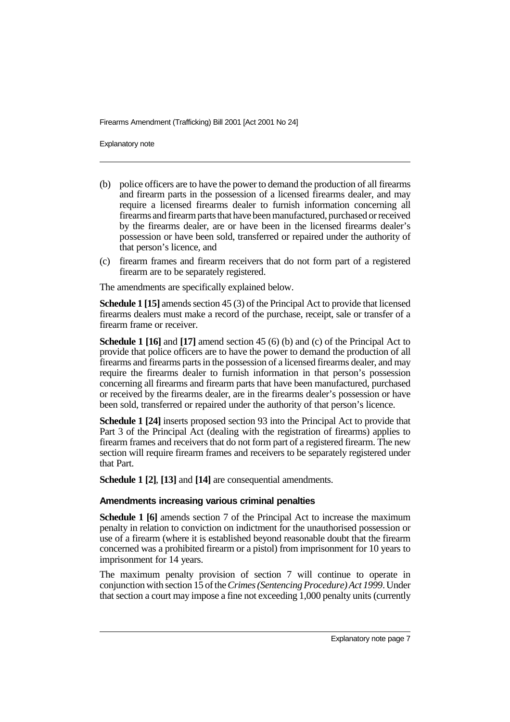Explanatory note

- (b) police officers are to have the power to demand the production of all firearms and firearm parts in the possession of a licensed firearms dealer, and may require a licensed firearms dealer to furnish information concerning all firearms and firearm parts that have been manufactured, purchased or received by the firearms dealer, are or have been in the licensed firearms dealer's possession or have been sold, transferred or repaired under the authority of that person's licence, and
- (c) firearm frames and firearm receivers that do not form part of a registered firearm are to be separately registered.

The amendments are specifically explained below.

**Schedule 1 [15]** amends section 45 (3) of the Principal Act to provide that licensed firearms dealers must make a record of the purchase, receipt, sale or transfer of a firearm frame or receiver.

**Schedule 1 [16]** and **[17]** amend section 45 (6) (b) and (c) of the Principal Act to provide that police officers are to have the power to demand the production of all firearms and firearms parts in the possession of a licensed firearms dealer, and may require the firearms dealer to furnish information in that person's possession concerning all firearms and firearm parts that have been manufactured, purchased or received by the firearms dealer, are in the firearms dealer's possession or have been sold, transferred or repaired under the authority of that person's licence.

**Schedule 1 [24]** inserts proposed section 93 into the Principal Act to provide that Part 3 of the Principal Act (dealing with the registration of firearms) applies to firearm frames and receivers that do not form part of a registered firearm. The new section will require firearm frames and receivers to be separately registered under that Part.

**Schedule 1 [2]**, **[13]** and **[14]** are consequential amendments.

#### **Amendments increasing various criminal penalties**

**Schedule 1 [6]** amends section 7 of the Principal Act to increase the maximum penalty in relation to conviction on indictment for the unauthorised possession or use of a firearm (where it is established beyond reasonable doubt that the firearm concerned was a prohibited firearm or a pistol) from imprisonment for 10 years to imprisonment for 14 years.

The maximum penalty provision of section 7 will continue to operate in conjunction with section 15 of the *Crimes (Sentencing Procedure) Act 1999*. Under that section a court may impose a fine not exceeding 1,000 penalty units (currently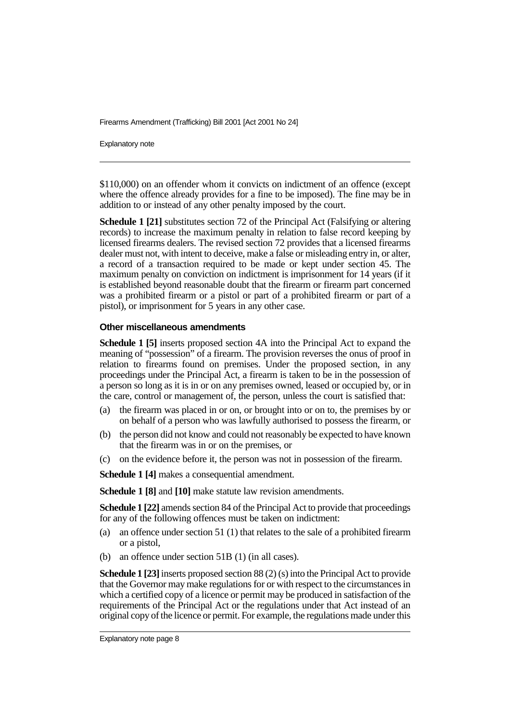Explanatory note

\$110,000) on an offender whom it convicts on indictment of an offence (except where the offence already provides for a fine to be imposed). The fine may be in addition to or instead of any other penalty imposed by the court.

**Schedule 1 [21]** substitutes section 72 of the Principal Act (Falsifying or altering records) to increase the maximum penalty in relation to false record keeping by licensed firearms dealers. The revised section 72 provides that a licensed firearms dealer must not, with intent to deceive, make a false or misleading entry in, or alter, a record of a transaction required to be made or kept under section 45. The maximum penalty on conviction on indictment is imprisonment for 14 years (if it is established beyond reasonable doubt that the firearm or firearm part concerned was a prohibited firearm or a pistol or part of a prohibited firearm or part of a pistol), or imprisonment for 5 years in any other case.

#### **Other miscellaneous amendments**

**Schedule 1 [5]** inserts proposed section 4A into the Principal Act to expand the meaning of "possession" of a firearm. The provision reverses the onus of proof in relation to firearms found on premises. Under the proposed section, in any proceedings under the Principal Act, a firearm is taken to be in the possession of a person so long as it is in or on any premises owned, leased or occupied by, or in the care, control or management of, the person, unless the court is satisfied that:

- (a) the firearm was placed in or on, or brought into or on to, the premises by or on behalf of a person who was lawfully authorised to possess the firearm, or
- (b) the person did not know and could not reasonably be expected to have known that the firearm was in or on the premises, or
- (c) on the evidence before it, the person was not in possession of the firearm.

**Schedule 1 [4]** makes a consequential amendment.

**Schedule 1 [8]** and **[10]** make statute law revision amendments.

**Schedule 1 [22]** amends section 84 of the Principal Act to provide that proceedings for any of the following offences must be taken on indictment:

- (a) an offence under section 51 (1) that relates to the sale of a prohibited firearm or a pistol,
- (b) an offence under section 51B (1) (in all cases).

**Schedule 1 [23]** inserts proposed section 88 (2) (s) into the Principal Act to provide that the Governor may make regulations for or with respect to the circumstances in which a certified copy of a licence or permit may be produced in satisfaction of the requirements of the Principal Act or the regulations under that Act instead of an original copy of the licence or permit. For example, the regulations made under this